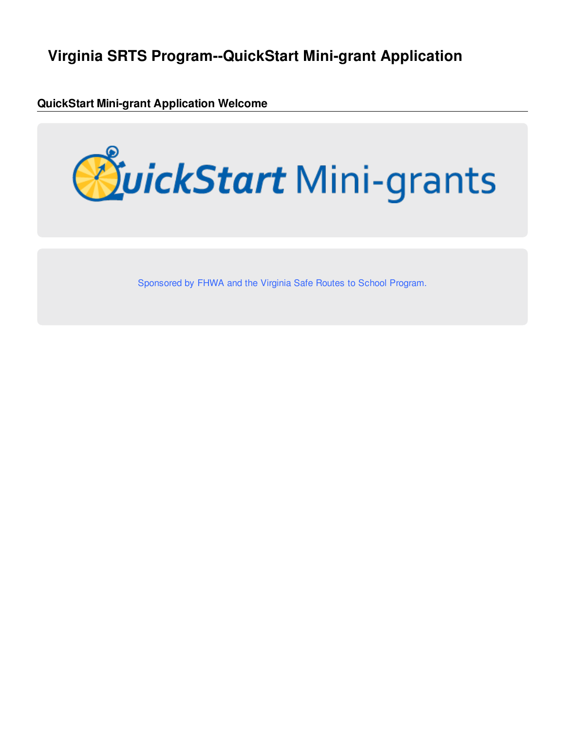# **Virginia SRTS Program--QuickStart Mini-grant Application**

**QuickStart Mini-grant Application Welcome**



Sponsored by FHWA and the Virginia Safe Routes to School Program.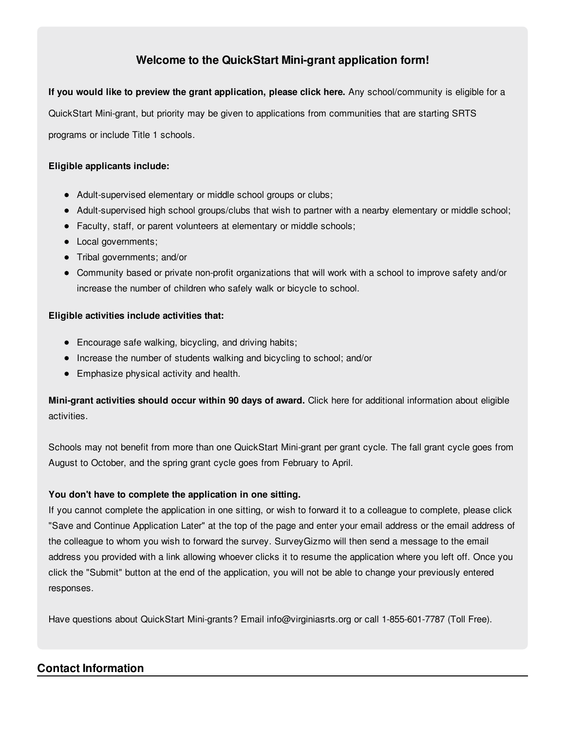#### **Welcome to the QuickStart Mini-grant application form!**

**If you would like to preview the grant application, please click here.** Any school/community is eligible for a QuickStart Mini-grant, but priority may be given to applications from communities that are starting SRTS programs or include Title 1 schools.

#### **Eligible applicants include:**

- Adult-supervised elementary or middle school groups or clubs;
- Adult-supervised high school groups/clubs that wish to partner with a nearby elementary or middle school;
- Faculty, staff, or parent volunteers at elementary or middle schools;
- Local governments;
- Tribal governments; and/or
- Community based or private non-profit organizations that will work with a school to improve safety and/or increase the number of children who safely walk or bicycle to school.

#### **Eligible activities include activities that:**

- Encourage safe walking, bicycling, and driving habits;
- Increase the number of students walking and bicycling to school; and/or
- Emphasize physical activity and health.

**Mini-grant activities should occur within 90 days of award.** Click here for additional information about eligible activities.

Schools may not benefit from more than one QuickStart Mini-grant per grant cycle. The fall grant cycle goes from August to October, and the spring grant cycle goes from February to April.

#### **You don't have to complete the application in one sitting.**

If you cannot complete the application in one sitting, or wish to forward it to a colleague to complete, please click "Save and Continue Application Later" at the top of the page and enter your email address or the email address of the colleague to whom you wish to forward the survey. SurveyGizmo will then send a message to the email address you provided with a link allowing whoever clicks it to resume the application where you left off. Once you click the "Submit" button at the end of the application, you will not be able to change your previously entered responses.

Have questions about QuickStart Mini-grants? Email info@virginiasrts.org or call 1-855-601-7787 (Toll Free).

#### **Contact Information**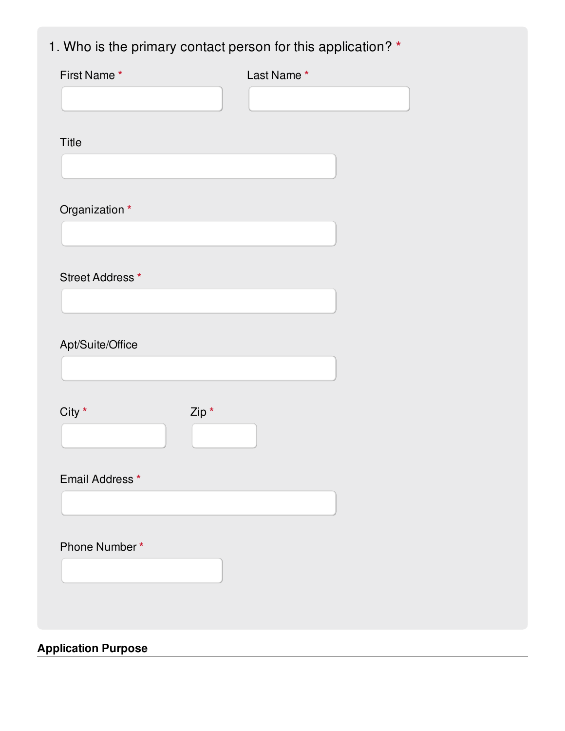# 1. Who is the primary contact person for this application? **\***

| First Name*      |       | Last Name* |  |
|------------------|-------|------------|--|
|                  |       |            |  |
|                  |       |            |  |
| Title            |       |            |  |
|                  |       |            |  |
|                  |       |            |  |
| Organization *   |       |            |  |
|                  |       |            |  |
| Street Address * |       |            |  |
|                  |       |            |  |
|                  |       |            |  |
| Apt/Suite/Office |       |            |  |
|                  |       |            |  |
|                  |       |            |  |
| $City *$         | Zip * |            |  |
|                  |       |            |  |
|                  |       |            |  |
| Email Address *  |       |            |  |
|                  |       |            |  |
|                  |       |            |  |
| Phone Number*    |       |            |  |
|                  |       |            |  |
|                  |       |            |  |
|                  |       |            |  |
|                  |       |            |  |

**Application Purpose**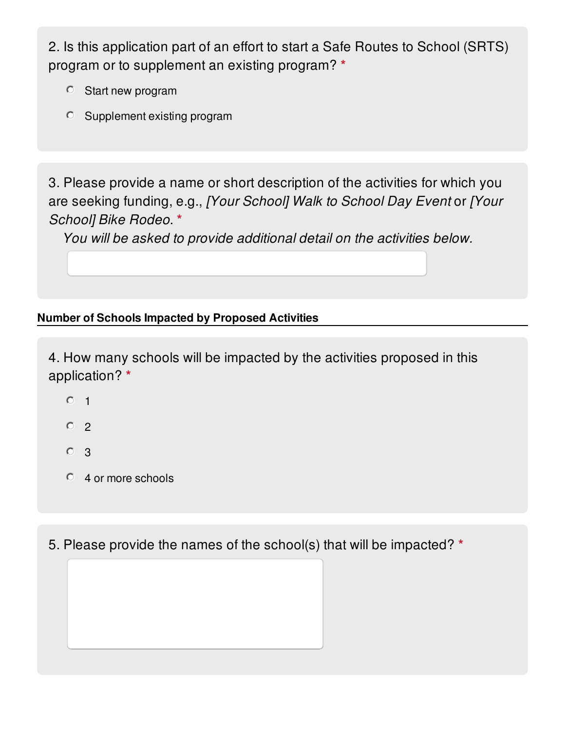2. Is this application part of an effort to start a Safe Routes to School (SRTS) program or to supplement an existing program? **\***

- Start new program
- Supplement existing program

3. Please provide a name or short description of the activities for which you are seeking funding, e.g., *[Your School] Walk to School Day Event* or *[Your School] Bike Rodeo*. **\***

*You will be asked to provide additional detail on the activities below.*

### **Number of Schools Impacted by Proposed Activities**

4. How many schools will be impacted by the activities proposed in this application? **\***

- $O<sub>1</sub>$
- $O<sub>2</sub>$
- <sup>O</sup> 3
- 4 or more schools

5. Please provide the names of the school(s) that will be impacted? **\***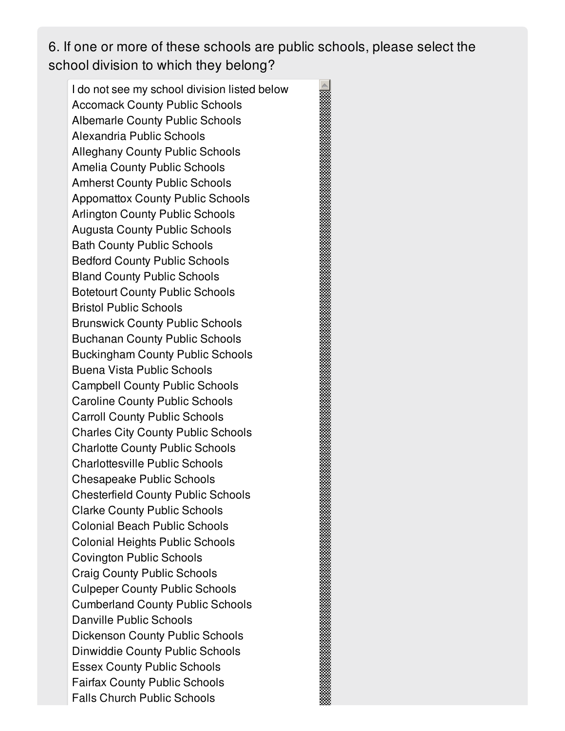6. If one or more of these schools are public schools, please select the school division to which they belong?

I do not see my school division listed below Accomack County Public Schools Albemarle County Public Schools Alexandria Public Schools Alleghany County Public Schools Amelia County Public Schools Amherst County Public Schools Appomattox County Public Schools Arlington County Public Schools Augusta County Public Schools Bath County Public Schools Bedford County Public Schools Bland County Public Schools Botetourt County Public Schools Bristol Public Schools Brunswick County Public Schools Buchanan County Public Schools Buckingham County Public Schools Buena Vista Public Schools Campbell County Public Schools Caroline County Public Schools Carroll County Public Schools Charles City County Public Schools Charlotte County Public Schools Charlottesville Public Schools Chesapeake Public Schools Chesterfield County Public Schools Clarke County Public Schools Colonial Beach Public Schools Colonial Heights Public Schools Covington Public Schools Craig County Public Schools Culpeper County Public Schools Cumberland County Public Schools Danville Public Schools Dickenson County Public Schools Dinwiddie County Public Schools Essex County Public Schools Fairfax County Public Schools Falls Church Public Schools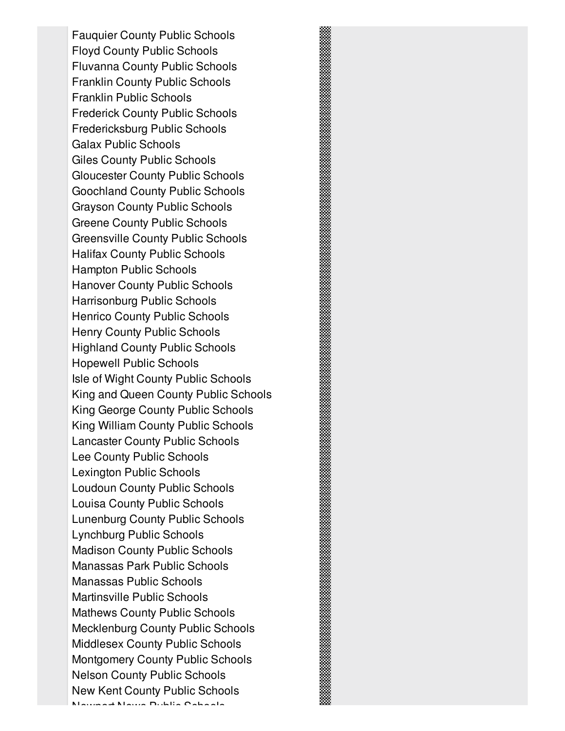Fauquier County Public Schools Floyd County Public Schools Fluvanna County Public Schools Franklin County Public Schools Franklin Public Schools Frederick County Public Schools Fredericksburg Public Schools Galax Public Schools Giles County Public Schools Gloucester County Public Schools Goochland County Public Schools Grayson County Public Schools Greene County Public Schools Greensville County Public Schools Halifax County Public Schools Hampton Public Schools Hanover County Public Schools Harrisonburg Public Schools Henrico County Public Schools Henry County Public Schools Highland County Public Schools Hopewell Public Schools Isle of Wight County Public Schools King and Queen County Public Schools King George County Public Schools King William County Public Schools Lancaster County Public Schools Lee County Public Schools Lexington Public Schools Loudoun County Public Schools Louisa County Public Schools Lunenburg County Public Schools Lynchburg Public Schools Madison County Public Schools Manassas Park Public Schools Manassas Public Schools Martinsville Public Schools Mathews County Public Schools Mecklenburg County Public Schools Middlesex County Public Schools Montgomery County Public Schools Nelson County Public Schools New Kent County Public Schools Newport News Public Schools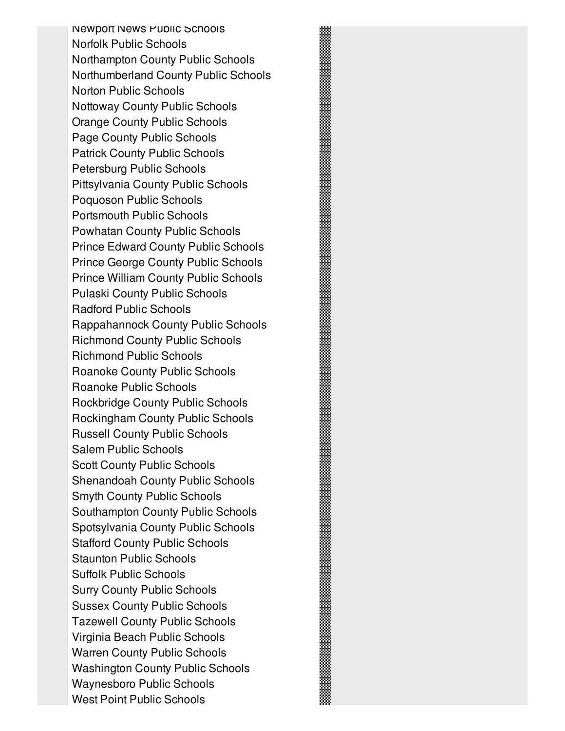Newport News Public Schools Norfolk Public Schools Northampton County Public Schools Northumberland County Public Schools Norton Public Schools Nottoway County Public Schools Orange County Public Schools Page County Public Schools Patrick County Public Schools Petersburg Public Schools Pittsylvania County Public Schools Poquoson Public Schools Portsmouth Public Schools Powhatan County Public Schools Prince Edward County Public Schools Prince George County Public Schools Prince William County Public Schools Pulaski County Public Schools Radford Public Schools Rappahannock County Public Schools Richmond County Public Schools Richmond Public Schools Roanoke County Public Schools Roanoke Public Schools Rockbridge County Public Schools Rockingham County Public Schools Russell County Public Schools Salem Public Schools Scott County Public Schools Shenandoah County Public Schools Smyth County Public Schools Southampton County Public Schools Spotsylvania County Public Schools Stafford County Public Schools Staunton Public Schools Suffolk Public Schools Surry County Public Schools Sussex County Public Schools Tazewell County Public Schools Virginia Beach Public Schools Warren County Public Schools Washington County Public Schools Waynesboro Public Schools West Point Public Schools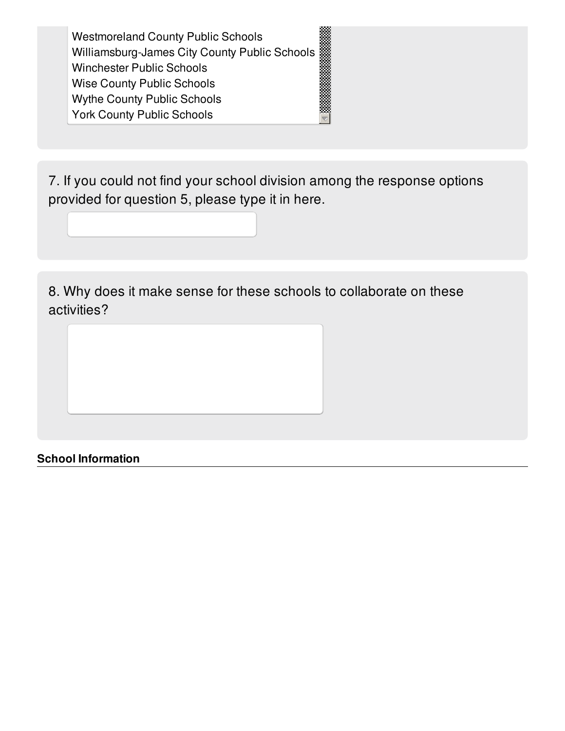Westmoreland County Public Schools Williamsburg-James City County Public Schools Winchester Public Schools Wise County Public Schools Wythe County Public Schools York County Public Schools

7. If you could not find your school division among the response options provided for question 5, please type it in here.

8. Why does it make sense for these schools to collaborate on these activities?

**School Information**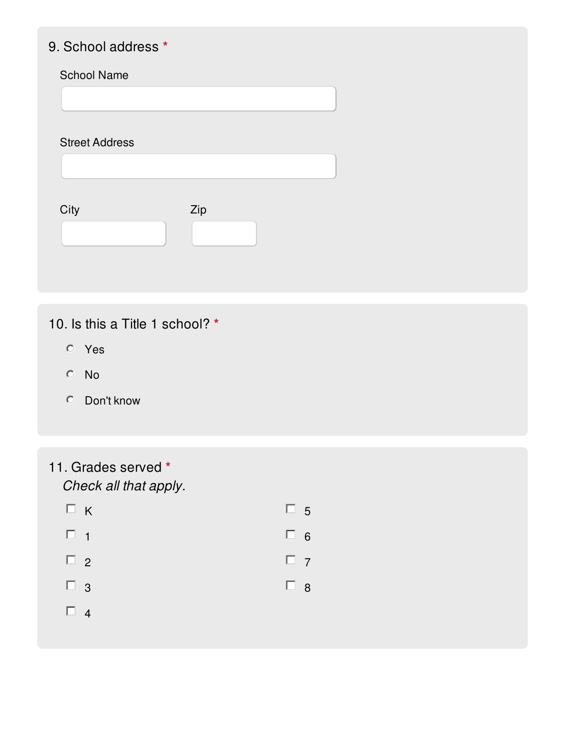# 9. School address **\***

Street Address

| City | Zip |  |
|------|-----|--|
|      |     |  |
|      |     |  |

10. Is this a Title 1 school? **\***

- Yes
- No
- Don't know
- 11. Grades served **\*** *Check all that apply.*

| $\Box K$ | $\Box$ 5 |  |
|----------|----------|--|
| $\Box$ 1 | $\Box$ 6 |  |
| $\Box$ 2 | $\Box$ 7 |  |
| $\Box$ 3 | $\Box$ 8 |  |
| $\Box$ 4 |          |  |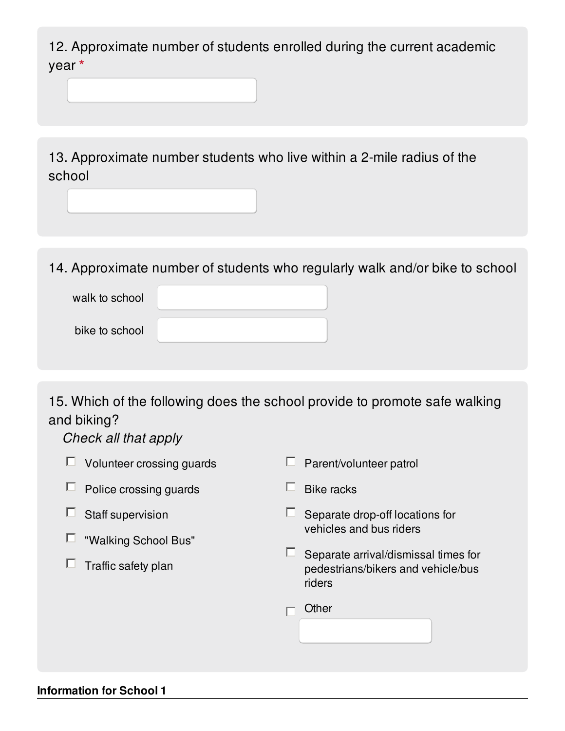12. Approximate number of students enrolled during the current academic year **\***

13. Approximate number students who live within a 2-mile radius of the school

14. Approximate number of students who regularly walk and/or bike to school

| walk to school |  |
|----------------|--|
| bike to school |  |

15. Which of the following does the school provide to promote safe walking and biking?

*Check all that apply*

| Volunteer crossing guards | Parent/volunteer patrol                                                              |
|---------------------------|--------------------------------------------------------------------------------------|
| Police crossing guards    | <b>Bike racks</b>                                                                    |
| Staff supervision         | Separate drop-off locations for                                                      |
| "Walking School Bus"      | vehicles and bus riders                                                              |
| Traffic safety plan       | Separate arrival/dismissal times for<br>pedestrians/bikers and vehicle/bus<br>riders |
|                           | Other                                                                                |
|                           |                                                                                      |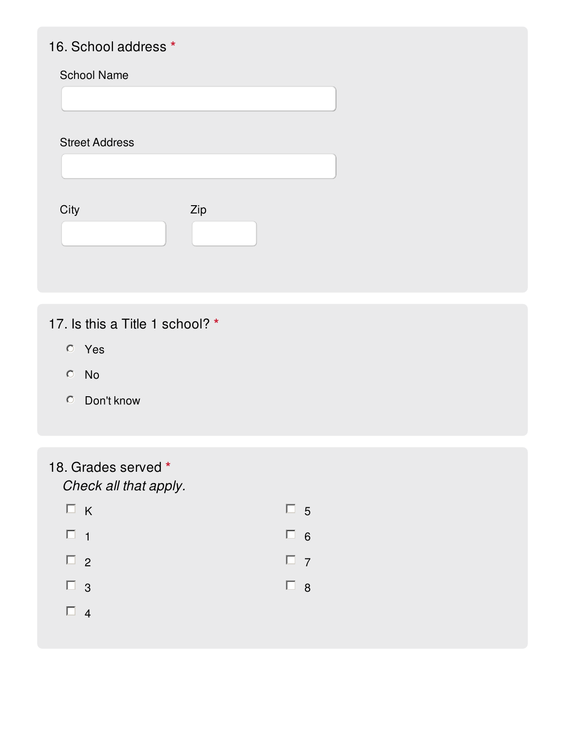### 16. School address **\***

#### School Name

Street Address

| City | Zip |  |
|------|-----|--|
|      |     |  |

## 17. Is this a Title 1 school? **\***

- Yes
- No
- Don't know
- 18. Grades served **\***

*Check all that apply.*

|          | $\Box K$ | $\Box$ 5 |  |
|----------|----------|----------|--|
| $\Box$ 1 |          | $\Box$ 6 |  |
| $\Box$ 2 |          | $\Box$ 7 |  |
| $\Box$ 3 |          | $\Box$ 8 |  |
| $\Box$ 4 |          |          |  |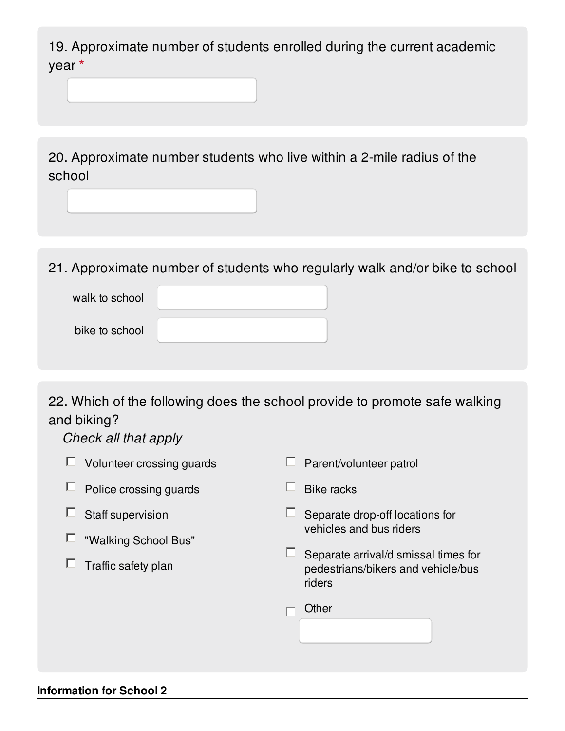19. Approximate number of students enrolled during the current academic year **\***

20. Approximate number students who live within a 2-mile radius of the school

21. Approximate number of students who regularly walk and/or bike to school

| walk to school |  |
|----------------|--|
| bike to school |  |

22. Which of the following does the school provide to promote safe walking and biking?

*Check all that apply*

| Volunteer crossing guards | Parent/volunteer patrol                                                              |
|---------------------------|--------------------------------------------------------------------------------------|
| Police crossing guards    | <b>Bike racks</b>                                                                    |
| Staff supervision         | Separate drop-off locations for                                                      |
| "Walking School Bus"      | vehicles and bus riders                                                              |
| Traffic safety plan       | Separate arrival/dismissal times for<br>pedestrians/bikers and vehicle/bus<br>riders |
|                           | Other                                                                                |
|                           |                                                                                      |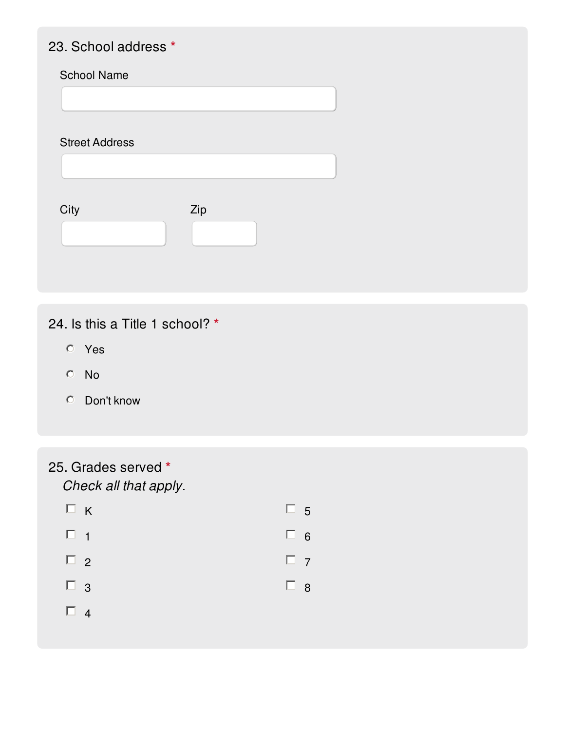### 23. School address **\***

#### School Name

Street Address

| City | Zip |  |
|------|-----|--|
|      |     |  |

## 24. Is this a Title 1 school? **\***

- Yes
- No
- Don't know

# 25. Grades served **\***

*Check all that apply.*

| $\Box$ K | $\Box$ 5 |  |
|----------|----------|--|
| $\Box$ 1 | $\Box$ 6 |  |
| $\Box$ 2 | $\Box$ 7 |  |
| $\Box$ 3 | $\Box$ 8 |  |
| $\Box$ 4 |          |  |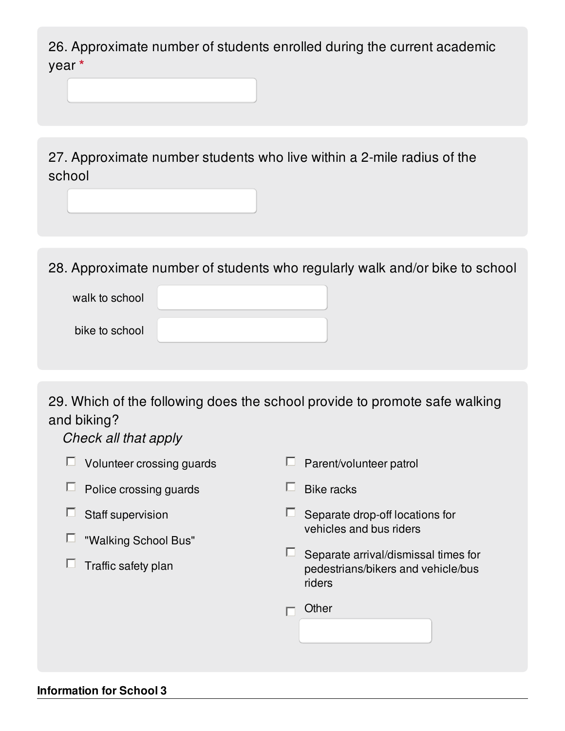26. Approximate number of students enrolled during the current academic year **\***

27. Approximate number students who live within a 2-mile radius of the school

28. Approximate number of students who regularly walk and/or bike to school

| walk to school |  |
|----------------|--|
| bike to school |  |

29. Which of the following does the school provide to promote safe walking and biking?

*Check all that apply*

| Volunteer crossing guards | Parent/volunteer patrol                                                              |
|---------------------------|--------------------------------------------------------------------------------------|
| Police crossing guards    | <b>Bike racks</b>                                                                    |
| Staff supervision         | Separate drop-off locations for                                                      |
| "Walking School Bus"      | vehicles and bus riders                                                              |
| Traffic safety plan       | Separate arrival/dismissal times for<br>pedestrians/bikers and vehicle/bus<br>riders |
|                           | Other                                                                                |
|                           |                                                                                      |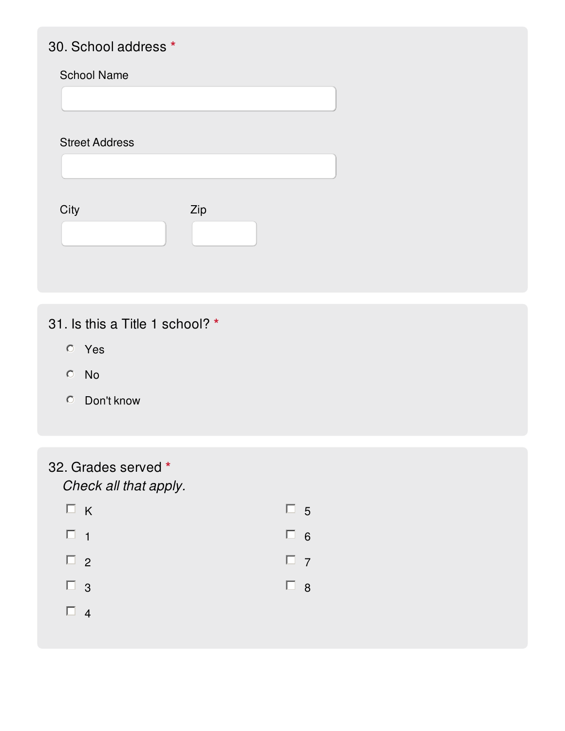### 30. School address **\***

#### School Name

Street Address

| City | Zip |  |
|------|-----|--|
|      |     |  |

## 31. Is this a Title 1 school? **\***

- Yes
- No
- Don't know

# 32. Grades served **\***

*Check all that apply.*

|          | $\Box K$ | $\Box$ 5 |  |
|----------|----------|----------|--|
| $\Box$ 1 |          | $\Box$ 6 |  |
| $\Box$ 2 |          | $\Box$ 7 |  |
| $\Box$ 3 |          | $\Box$ 8 |  |
| $\Box$ 4 |          |          |  |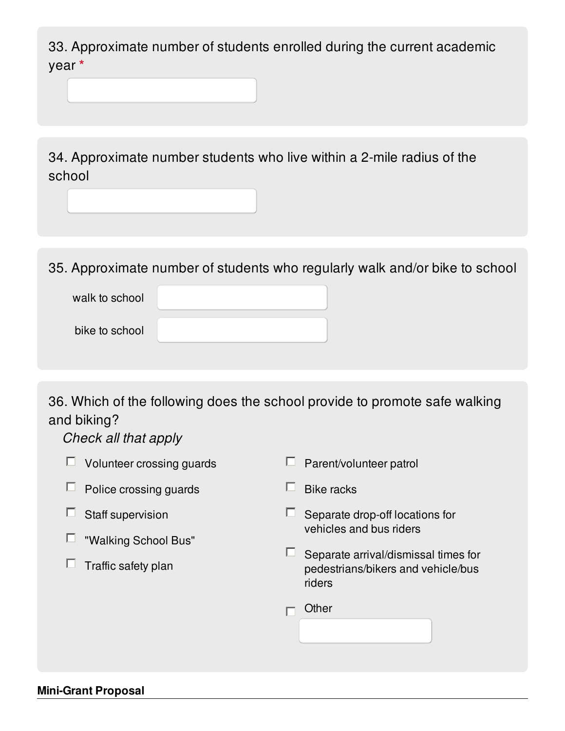33. Approximate number of students enrolled during the current academic year **\***

34. Approximate number students who live within a 2-mile radius of the school

35. Approximate number of students who regularly walk and/or bike to school

| walk to school |  |
|----------------|--|
| bike to school |  |

36. Which of the following does the school provide to promote safe walking and biking?

*Check all that apply*

| Volunteer crossing guards | Parent/volunteer patrol                                                              |
|---------------------------|--------------------------------------------------------------------------------------|
| Police crossing guards    | <b>Bike racks</b>                                                                    |
| Staff supervision         | Separate drop-off locations for                                                      |
| "Walking School Bus"      | vehicles and bus riders                                                              |
| Traffic safety plan       | Separate arrival/dismissal times for<br>pedestrians/bikers and vehicle/bus<br>riders |
|                           | Other                                                                                |
|                           |                                                                                      |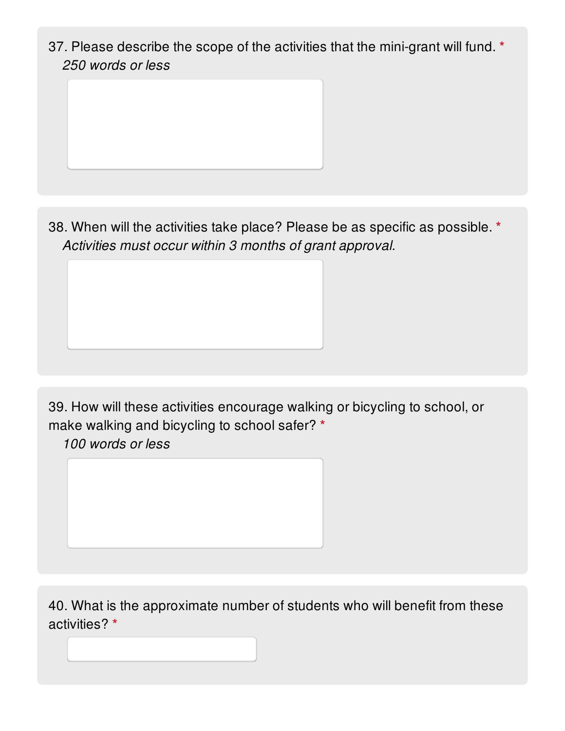37. Please describe the scope of the activities that the mini-grant will fund. **\*** *250 words or less*

38. When will the activities take place? Please be as specific as possible. **\*** *Activities must occur within 3 months of grant approval.*

39. How will these activities encourage walking or bicycling to school, or make walking and bicycling to school safer? **\***

*100 words or less*

40. What is the approximate number of students who will benefit from these activities? **\***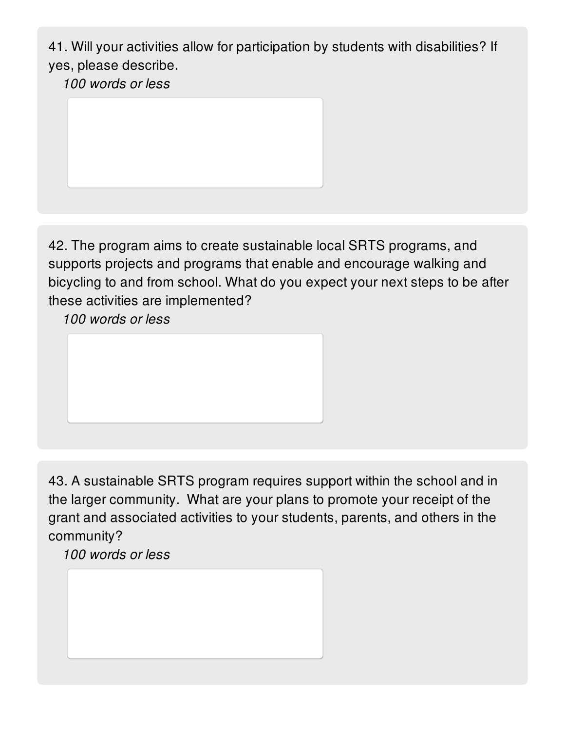41. Will your activities allow for participation by students with disabilities? If yes, please describe.

*100 words or less*

42. The program aims to create sustainable local SRTS programs, and supports projects and programs that enable and encourage walking and bicycling to and from school. What do you expect your next steps to be after these activities are implemented?

*100 words or less*

43. A sustainable SRTS program requires support within the school and in the larger community. What are your plans to promote your receipt of the grant and associated activities to your students, parents, and others in the community?

*100 words or less*

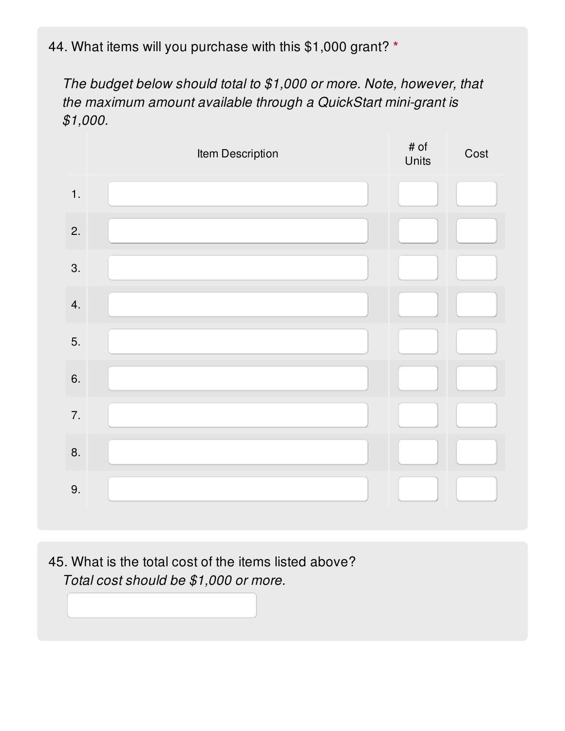44. What items will you purchase with this \$1,000 grant? **\***

*The budget below should total to \$1,000 or more. Note, however, that the maximum amount available through a QuickStart mini-grant is \$1,000.*

|    | Item Description | $\#$ of<br>Units | Cost |
|----|------------------|------------------|------|
| 1. |                  |                  |      |
| 2. |                  |                  |      |
| 3. |                  |                  |      |
| 4. |                  |                  |      |
| 5. |                  |                  |      |
| 6. |                  |                  |      |
| 7. |                  |                  |      |
| 8. |                  |                  |      |
| 9. |                  |                  |      |
|    |                  |                  |      |

45. What is the total cost of the items listed above? *Total cost should be \$1,000 or more.*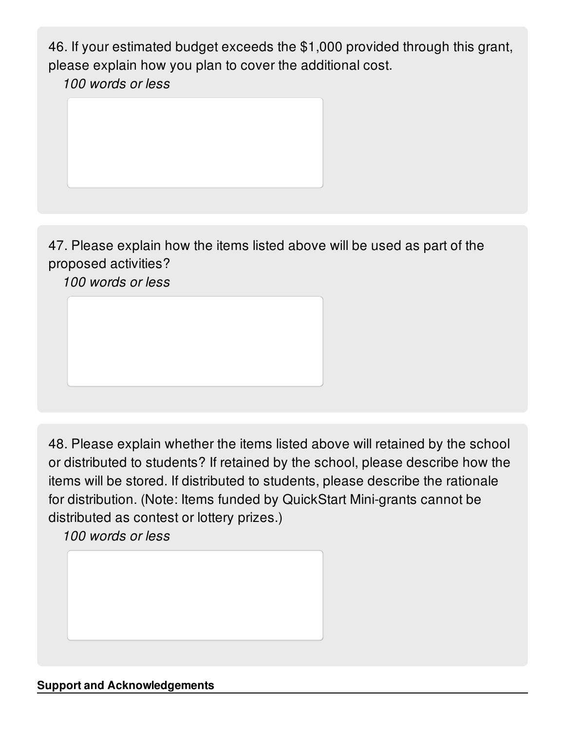46. If your estimated budget exceeds the \$1,000 provided through this grant, please explain how you plan to cover the additional cost.

*100 words or less*



47. Please explain how the items listed above will be used as part of the proposed activities?

*100 words or less*

48. Please explain whether the items listed above will retained by the school or distributed to students? If retained by the school, please describe how the items will be stored. If distributed to students, please describe the rationale for distribution. (Note: Items funded by QuickStart Mini-grants cannot be distributed as contest or lottery prizes.)

*100 words or less*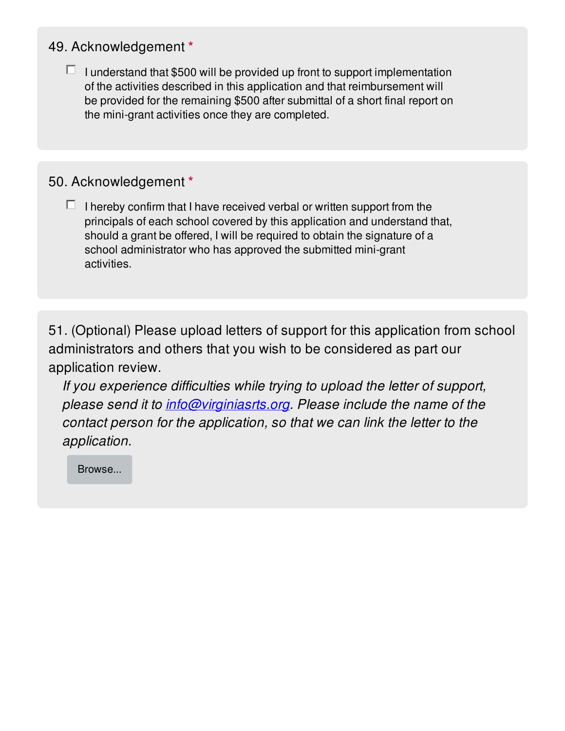### 49. Acknowledgement **\***

 $\Box$  I understand that \$500 will be provided up front to support implementation of the activities described in this application and that reimbursement will be provided for the remaining \$500 after submittal of a short final report on the mini-grant activities once they are completed.

### 50. Acknowledgement **\***

 $\Box$  I hereby confirm that I have received verbal or written support from the principals of each school covered by this application and understand that, should a grant be offered, I will be required to obtain the signature of a school administrator who has approved the submitted mini-grant activities.

51. (Optional) Please upload letters of support for this application from school administrators and others that you wish to be considered as part our application review.

*If you experience difficulties while trying to upload the letter of support, please send it to [info@virginiasrts.org](mailto:info@virginiasrts.org). Please include the name of the contact person for the application, so that we can link the letter to the application.*

Browse...